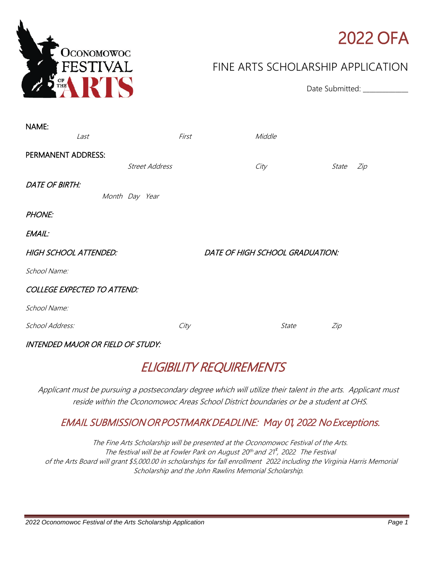

# 2022 OFA

Date Submitted: \_\_\_\_\_\_\_\_\_\_\_\_\_

### FINE ARTS SCHOLARSHIP APPLICATION

| NAME:<br>Last                            |                       | First |                                 | Middle |       |     |
|------------------------------------------|-----------------------|-------|---------------------------------|--------|-------|-----|
| PERMANENT ADDRESS:                       |                       |       |                                 |        |       |     |
|                                          | <b>Street Address</b> |       |                                 | City   | State | Zip |
| <b>DATE OF BIRTH:</b>                    | Month Day Year        |       |                                 |        |       |     |
| <b>PHONE:</b>                            |                       |       |                                 |        |       |     |
| EMAIL:                                   |                       |       |                                 |        |       |     |
| <b>HIGH SCHOOL ATTENDED:</b>             |                       |       | DATE OF HIGH SCHOOL GRADUATION: |        |       |     |
| School Name:                             |                       |       |                                 |        |       |     |
| <b>COLLEGE EXPECTED TO ATTEND:</b>       |                       |       |                                 |        |       |     |
| School Name:                             |                       |       |                                 |        |       |     |
| School Address:                          |                       | City  |                                 | State  | Zip   |     |
| <b>INTENDED MAJOR OR FIELD OF STUDY:</b> |                       |       |                                 |        |       |     |

## ELIGIBILITY REQUIREMENTS

Applicant must be pursuing a postsecondary degree which will utilize their talent in the arts. Applicant must reside within the Oconomowoc Areas School District boundaries or be a student at OHS.

### EMAIL SUBMISSION OR POSTMARK DEADLINE: *May 01*, *2022* No Exceptions.

The Fine Arts Scholarship will be presented at the Oconomowoc Festival of the Arts. The festival will be at Fowler Park on August 20<sup>th</sup> and 21<sup>t</sup>, 2022 The Festival of the Arts Board will grant \$5,000.00 in scholarships for fall enrollment *2022* including the Virginia Harris Memorial Scholarship and the John Rawlins Memorial Scholarship.